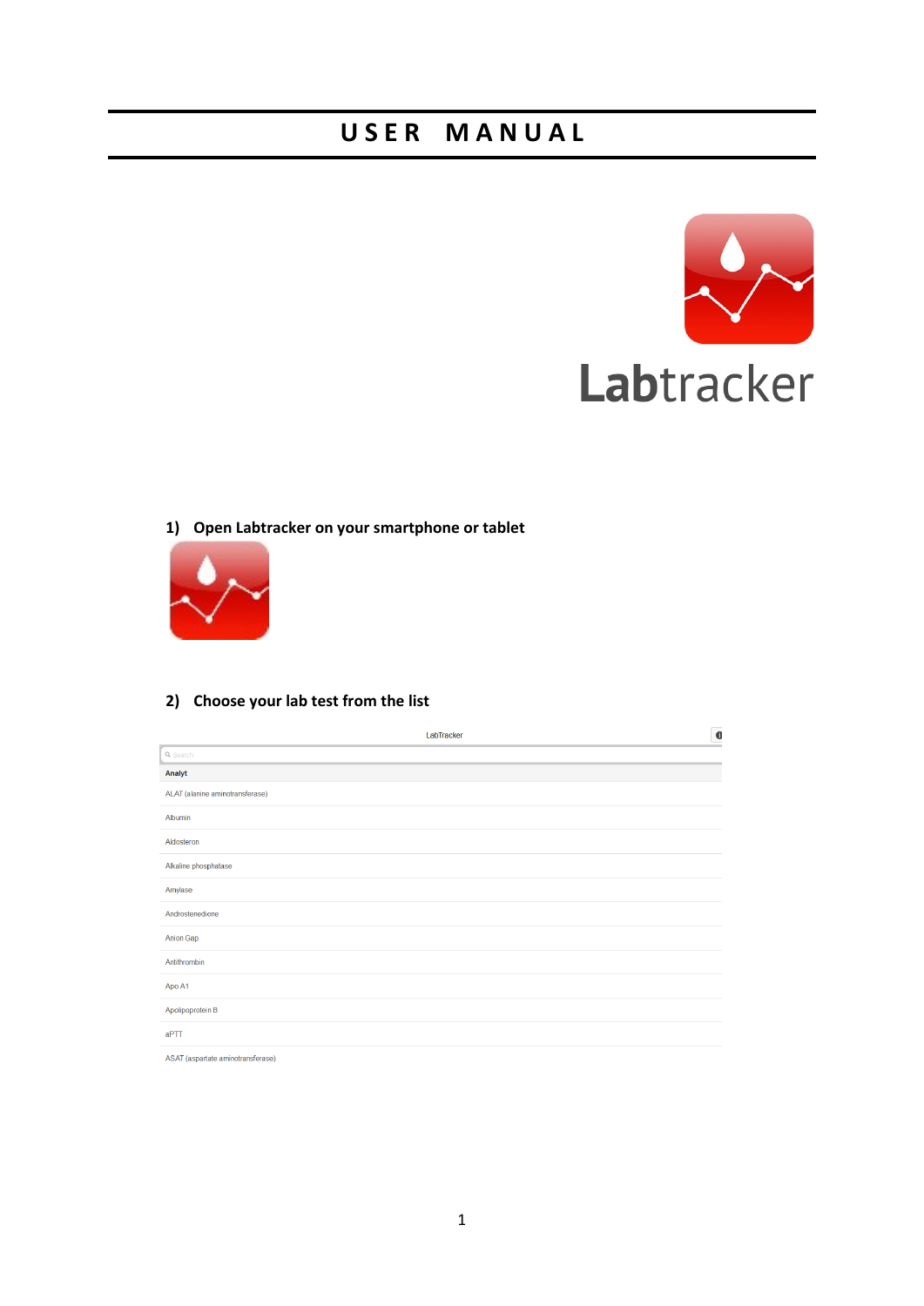# **U S E R M A N U A L**



### **1) Open Labtracker on your smartphone or tablet**



### **2) Choose your lab test from the list**

| LabTracker                        | $\bullet$ |
|-----------------------------------|-----------|
| Q Search                          |           |
| Analyt                            |           |
| ALAT (alanine aminotransferase)   |           |
| Albumin                           |           |
| Aldosteron                        |           |
| Alkaline phosphatase              |           |
| Amylase                           |           |
| Androstenedione                   |           |
| <b>Anion Gap</b>                  |           |
| Antithrombin                      |           |
| Apo A1                            |           |
| Apolipoprotein B                  |           |
| aPTT                              |           |
| ASAT (aspartate aminotransferase) |           |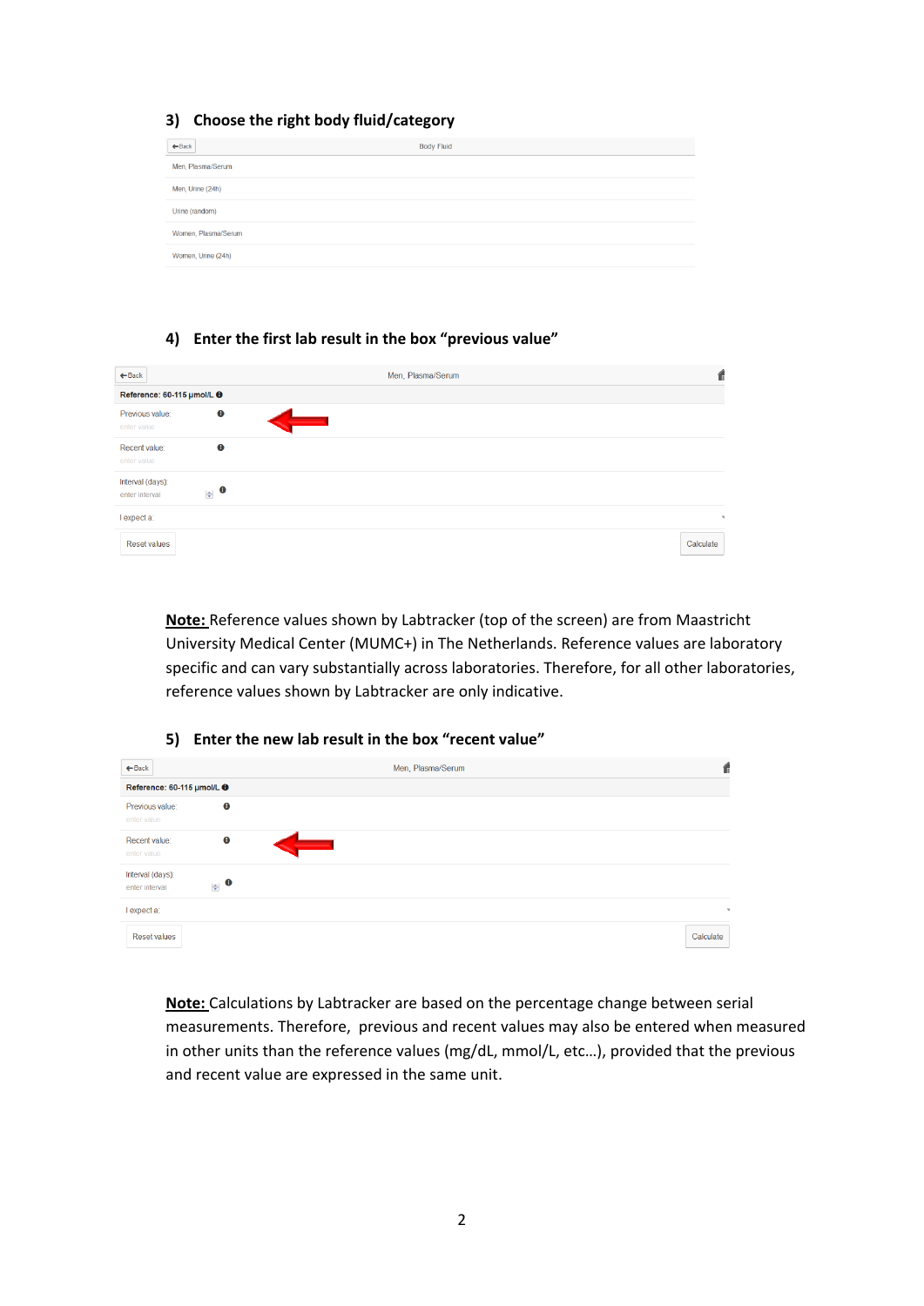### **3) Choose the right body fluid/category**

| $\leftarrow$ Back   | <b>Body Fluid</b> |
|---------------------|-------------------|
| Men, Plasma/Serum   |                   |
| Men, Urine (24h)    |                   |
| Urine (random)      |                   |
| Women, Plasma/Serum |                   |
| Women, Urine (24h)  |                   |

### **4) Enter the first lab result in the box "previous value"**

| $\leftarrow$ Back                  |           | Men, Plasma/Serum |              |
|------------------------------------|-----------|-------------------|--------------|
| Reference: 60-115 µmol/L +         |           |                   |              |
| Previous value:<br>enter value     | $\bullet$ |                   |              |
| Recent value:<br>enter value       | $\bullet$ |                   |              |
| Interval (days):<br>enter interval | $\bullet$ |                   |              |
| I expect a:                        |           |                   | $\mathbf{v}$ |
| <b>Reset values</b>                |           |                   | Calculate    |

**Note:** Reference values shown by Labtracker (top of the screen) are from Maastricht University Medical Center (MUMC+) in The Netherlands. Reference values are laboratory specific and can vary substantially across laboratories. Therefore, for all other laboratories, reference values shown by Labtracker are only indicative.

### **5) Enter the new lab result in the box "recent value"**

| $\leftarrow$ Back                                  | Men, Plasma/Serum | Ш            |
|----------------------------------------------------|-------------------|--------------|
| Reference: 60-115 µmol/L +                         |                   |              |
| $\bf \bm \theta$<br>Previous value:<br>enter value |                   |              |
| $\bullet$<br>Recent value:<br>____<br>enter value  |                   |              |
| Interval (days):<br>$\bullet$<br>enter interval    |                   |              |
| I expect a:                                        |                   | $\mathbf{v}$ |
| <b>Reset values</b>                                |                   | Calculate    |

**Note:** Calculations by Labtracker are based on the percentage change between serial measurements. Therefore, previous and recent values may also be entered when measured in other units than the reference values (mg/dL, mmol/L, etc…), provided that the previous and recent value are expressed in the same unit.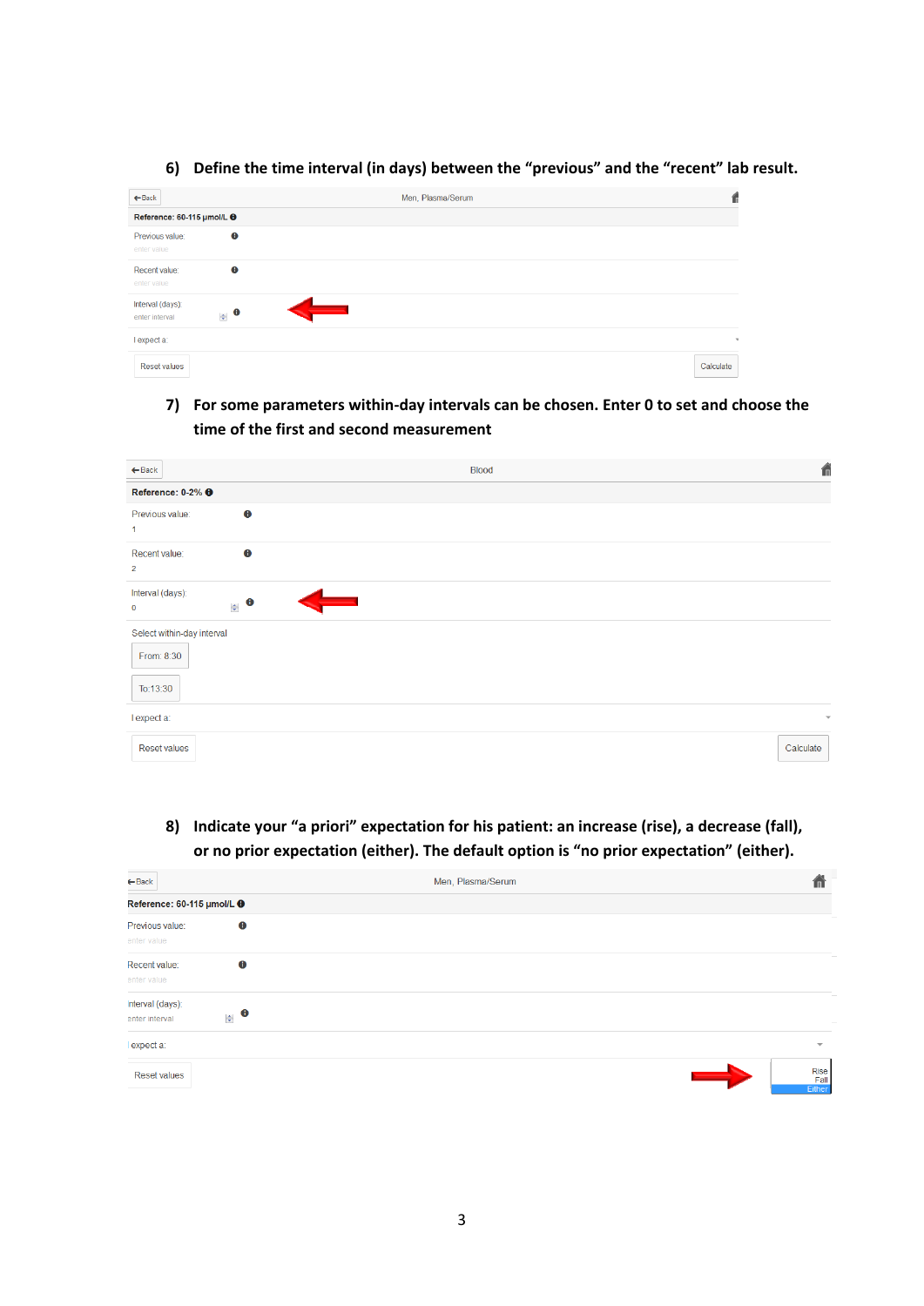#### $\leftarrow$  Back Men, Plasma/Serum  $\hat{f}$ Reference: 60-115 µmol/L +  $\bullet$ Previous value: Recent value:  $\ddot{\mathbf{e}}$ Interval (days):  $\bullet$ enter interval I expect a: Reset values Calculate

### **6) Define the time interval (in days) between the "previous" and the "recent" lab result.**

## **7) For some parameters within-day intervals can be chosen. Enter 0 to set and choose the time of the first and second measurement**

| $\leftarrow$ Back                                    |           | <b>Blood</b> | 侖                       |
|------------------------------------------------------|-----------|--------------|-------------------------|
| Reference: 0-2% <b>O</b>                             |           |              |                         |
| Previous value:<br>$\mathbf{1}$                      | $\bullet$ |              |                         |
| Recent value:<br>$\overline{2}$                      | $\bullet$ |              |                         |
| Interval (days):<br>$\mathbf 0$                      | $\bullet$ |              |                         |
| Select within-day interval<br>From: 8:30<br>To:13:30 |           |              |                         |
| I expect a:                                          |           |              | $\overline{\mathbf{v}}$ |
| <b>Reset values</b>                                  |           |              | Calculate               |

# **8) Indicate your "a priori" expectation for his patient: an increase (rise), a decrease (fall), or no prior expectation (either). The default option is "no prior expectation" (either).**

| $\leftarrow$ Back                                  | Men, Plasma/Serum | π                                           |
|----------------------------------------------------|-------------------|---------------------------------------------|
| Reference: 60-115 µmol/L +                         |                   |                                             |
| $\bullet$<br>Previous value:<br>enter value        |                   |                                             |
| ⊕<br>Recent value:<br>enter value                  |                   |                                             |
| nterval (days):<br>$\triangle$ 0<br>enter interval |                   |                                             |
| expect a:                                          |                   | $\overline{\phantom{a}}$                    |
| <b>Reset values</b>                                |                   | Rise<br>$\longrightarrow$<br>Fall<br>Either |